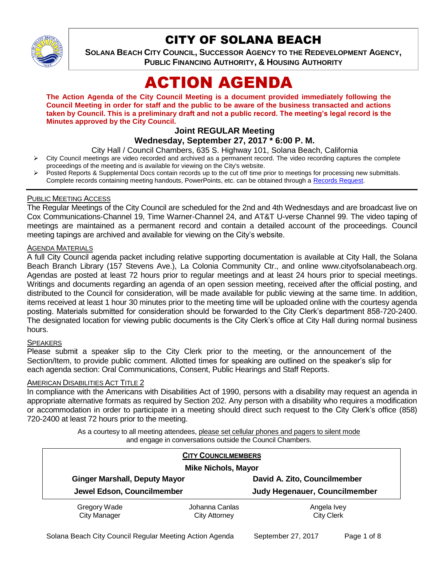

## CITY OF SOLANA BEACH

**SOLANA BEACH CITY COUNCIL, SUCCESSOR AGENCY TO THE REDEVELOPMENT AGENCY, PUBLIC FINANCING AUTHORITY, & HOUSING AUTHORITY** 

# ACTION AGENDA

**The Action Agenda of the City Council Meeting is a document provided immediately following the Council Meeting in order for staff and the public to be aware of the business transacted and actions taken by Council. This is a preliminary draft and not a public record. The meeting's legal record is the Minutes approved by the City Council.**

## **Joint REGULAR Meeting**

## **Wednesday, September 27, 2017 \* 6:00 P. M.**

City Hall / Council Chambers, 635 S. Highway 101, Solana Beach, California

- City Council meetings are video recorded and archived as a permanent record. The video recording captures the complete proceedings of the meeting and is available for viewing on the City's website.
- Posted Reports & Supplemental Docs contain records up to the cut off time prior to meetings for processing new submittals. Complete records containing meeting handouts, PowerPoints, etc. can be obtained through a [Records Request.](http://www.ci.solana-beach.ca.us/index.asp?SEC=F5D45D10-70CE-4291-A27C-7BD633FC6742&Type=B_BASIC)

#### PUBLIC MEETING ACCESS

The Regular Meetings of the City Council are scheduled for the 2nd and 4th Wednesdays and are broadcast live on Cox Communications-Channel 19, Time Warner-Channel 24, and AT&T U-verse Channel 99. The video taping of meetings are maintained as a permanent record and contain a detailed account of the proceedings. Council meeting tapings are archived and available for viewing on the City's website.

## AGENDA MATERIALS

A full City Council agenda packet including relative supporting documentation is available at City Hall, the Solana Beach Branch Library (157 Stevens Ave.), La Colonia Community Ctr., and online www.cityofsolanabeach.org. Agendas are posted at least 72 hours prior to regular meetings and at least 24 hours prior to special meetings. Writings and documents regarding an agenda of an open session meeting, received after the official posting, and distributed to the Council for consideration, will be made available for public viewing at the same time. In addition, items received at least 1 hour 30 minutes prior to the meeting time will be uploaded online with the courtesy agenda posting. Materials submitted for consideration should be forwarded to the City Clerk's department 858-720-2400. The designated location for viewing public documents is the City Clerk's office at City Hall during normal business hours.

#### **SPEAKERS**

Please submit a speaker slip to the City Clerk prior to the meeting, or the announcement of the Section/Item, to provide public comment. Allotted times for speaking are outlined on the speaker's slip for each agenda section: Oral Communications, Consent, Public Hearings and Staff Reports.

#### AMERICAN DISABILITIES ACT TITLE 2

In compliance with the Americans with Disabilities Act of 1990, persons with a disability may request an agenda in appropriate alternative formats as required by Section 202. Any person with a disability who requires a modification or accommodation in order to participate in a meeting should direct such request to the City Clerk's office (858) 720-2400 at least 72 hours prior to the meeting.

> As a courtesy to all meeting attendees, please set cellular phones and pagers to silent mode and engage in conversations outside the Council Chambers.

| <b>CITY COUNCILMEMBERS</b>           |                                        |                                  |  |
|--------------------------------------|----------------------------------------|----------------------------------|--|
| <b>Mike Nichols, Mayor</b>           |                                        |                                  |  |
| <b>Ginger Marshall, Deputy Mayor</b> |                                        | David A. Zito, Councilmember     |  |
| Jewel Edson, Councilmember           |                                        | Judy Hegenauer, Councilmember    |  |
| Gregory Wade<br><b>City Manager</b>  | Johanna Canlas<br><b>City Attorney</b> | Angela Ivey<br><b>City Clerk</b> |  |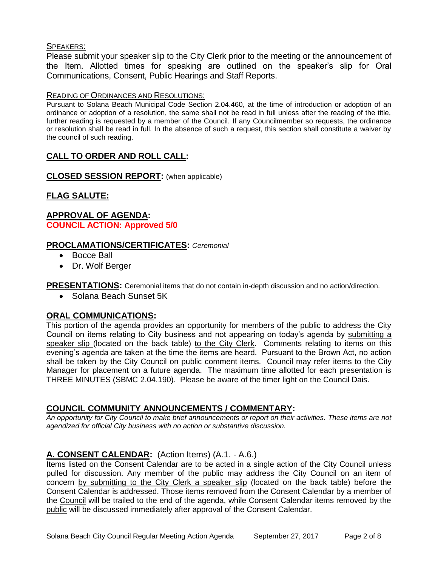#### SPEAKERS:

Please submit your speaker slip to the City Clerk prior to the meeting or the announcement of the Item. Allotted times for speaking are outlined on the speaker's slip for Oral Communications, Consent, Public Hearings and Staff Reports.

#### READING OF ORDINANCES AND RESOLUTIONS:

Pursuant to Solana Beach Municipal Code Section 2.04.460, at the time of introduction or adoption of an ordinance or adoption of a resolution, the same shall not be read in full unless after the reading of the title, further reading is requested by a member of the Council. If any Councilmember so requests, the ordinance or resolution shall be read in full. In the absence of such a request, this section shall constitute a waiver by the council of such reading.

## **CALL TO ORDER AND ROLL CALL:**

**CLOSED SESSION REPORT:** (when applicable)

## **FLAG SALUTE:**

## **APPROVAL OF AGENDA: COUNCIL ACTION: Approved 5/0**

#### **PROCLAMATIONS/CERTIFICATES:** *Ceremonial*

- Bocce Ball
- Dr. Wolf Berger

**PRESENTATIONS:** Ceremonial items that do not contain in-depth discussion and no action/direction.

• Solana Beach Sunset 5K

## **ORAL COMMUNICATIONS:**

This portion of the agenda provides an opportunity for members of the public to address the City Council on items relating to City business and not appearing on today's agenda by submitting a speaker slip (located on the back table) to the City Clerk. Comments relating to items on this evening's agenda are taken at the time the items are heard. Pursuant to the Brown Act, no action shall be taken by the City Council on public comment items. Council may refer items to the City Manager for placement on a future agenda. The maximum time allotted for each presentation is THREE MINUTES (SBMC 2.04.190). Please be aware of the timer light on the Council Dais.

## **COUNCIL COMMUNITY ANNOUNCEMENTS / COMMENTARY:**

*An opportunity for City Council to make brief announcements or report on their activities. These items are not agendized for official City business with no action or substantive discussion.* 

## **A. CONSENT CALENDAR:** (Action Items) (A.1. - A.6.)

Items listed on the Consent Calendar are to be acted in a single action of the City Council unless pulled for discussion. Any member of the public may address the City Council on an item of concern by submitting to the City Clerk a speaker slip (located on the back table) before the Consent Calendar is addressed. Those items removed from the Consent Calendar by a member of the Council will be trailed to the end of the agenda, while Consent Calendar items removed by the public will be discussed immediately after approval of the Consent Calendar.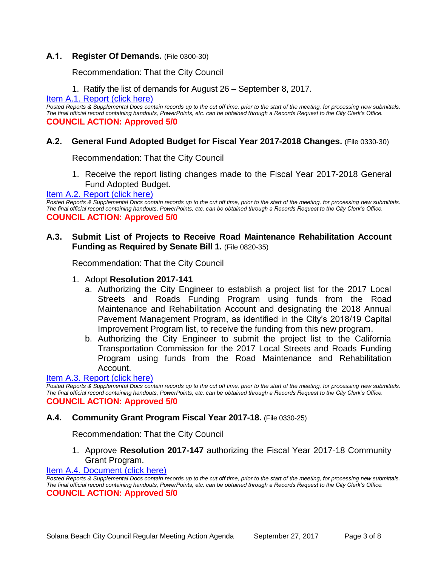## **A.1. Register Of Demands.** (File 0300-30)

Recommendation: That the City Council

1. Ratify the list of demands for August 26 – September 8, 2017.

[Item A.1. Report \(click here\)](https://solanabeach.govoffice3.com/vertical/Sites/%7B840804C2-F869-4904-9AE3-720581350CE7%7D/uploads/Item_A.1._Report_(click_here)_-_09-27-17.PDF)

*Posted Reports & Supplemental Docs contain records up to the cut off time, prior to the start of the meeting, for processing new submittals. The final official record containing handouts, PowerPoints, etc. can be obtained through a Records Request to the City Clerk's Office.* **COUNCIL ACTION: Approved 5/0**

## **A.2. General Fund Adopted Budget for Fiscal Year 2017-2018 Changes.** (File 0330-30)

Recommendation: That the City Council

1. Receive the report listing changes made to the Fiscal Year 2017-2018 General Fund Adopted Budget.

#### [Item A.2. Report \(click here\)](https://solanabeach.govoffice3.com/vertical/Sites/%7B840804C2-F869-4904-9AE3-720581350CE7%7D/uploads/Item_A.2._Report_(click_here)_-_09-27-17.PDF)

*Posted Reports & Supplemental Docs contain records up to the cut off time, prior to the start of the meeting, for processing new submittals. The final official record containing handouts, PowerPoints, etc. can be obtained through a Records Request to the City Clerk's Office.* **COUNCIL ACTION: Approved 5/0**

## **A.3. Submit List of Projects to Receive Road Maintenance Rehabilitation Account Funding as Required by Senate Bill 1.** (File 0820-35)

Recommendation: That the City Council

- 1. Adopt **Resolution 2017-141**
	- a. Authorizing the City Engineer to establish a project list for the 2017 Local Streets and Roads Funding Program using funds from the Road Maintenance and Rehabilitation Account and designating the 2018 Annual Pavement Management Program, as identified in the City's 2018/19 Capital Improvement Program list, to receive the funding from this new program.
	- b. Authorizing the City Engineer to submit the project list to the California Transportation Commission for the 2017 Local Streets and Roads Funding Program using funds from the Road Maintenance and Rehabilitation Account.

#### [Item A.3. Report \(click here\)](https://solanabeach.govoffice3.com/vertical/Sites/%7B840804C2-F869-4904-9AE3-720581350CE7%7D/uploads/Item_A.3._Report_(click_here)_-_09-27-17.PDF)

*Posted Reports & Supplemental Docs contain records up to the cut off time, prior to the start of the meeting, for processing new submittals. The final official record containing handouts, PowerPoints, etc. can be obtained through a Records Request to the City Clerk's Office.* **COUNCIL ACTION: Approved 5/0**

#### **A.4. Community Grant Program Fiscal Year 2017-18.** (File 0330-25)

Recommendation: That the City Council

1. Approve **Resolution 2017-147** authorizing the Fiscal Year 2017-18 Community Grant Program.

#### [Item A.4. Document \(click here\)](https://solanabeach.govoffice3.com/vertical/Sites/%7B840804C2-F869-4904-9AE3-720581350CE7%7D/uploads/Item_A.4._Report_(Click_here)_-_09-27-17_.PDF)

*Posted Reports & Supplemental Docs contain records up to the cut off time, prior to the start of the meeting, for processing new submittals. The final official record containing handouts, PowerPoints, etc. can be obtained through a Records Request to the City Clerk's Office.*

#### **COUNCIL ACTION: Approved 5/0**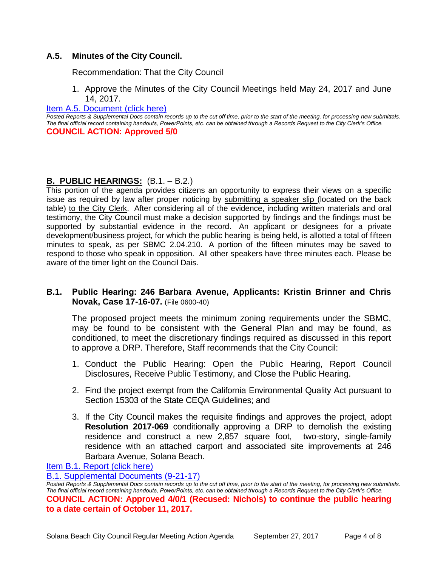## **A.5. Minutes of the City Council.**

Recommendation: That the City Council

1. Approve the Minutes of the City Council Meetings held May 24, 2017 and June 14, 2017.

#### [Item A.5. Document](https://solanabeach.govoffice3.com/vertical/Sites/%7B840804C2-F869-4904-9AE3-720581350CE7%7D/uploads/Item_A.5._Report_(Click_here)_-_09-27-17_.PDF) (click here)

*Posted Reports & Supplemental Docs contain records up to the cut off time, prior to the start of the meeting, for processing new submittals. The final official record containing handouts, PowerPoints, etc. can be obtained through a Records Request to the City Clerk's Office.* **COUNCIL ACTION: Approved 5/0**

## **B. PUBLIC HEARINGS:** (B.1. – B.2.)

This portion of the agenda provides citizens an opportunity to express their views on a specific issue as required by law after proper noticing by submitting a speaker slip (located on the back table) to the City Clerk. After considering all of the evidence, including written materials and oral testimony, the City Council must make a decision supported by findings and the findings must be supported by substantial evidence in the record. An applicant or designees for a private development/business project, for which the public hearing is being held, is allotted a total of fifteen minutes to speak, as per SBMC 2.04.210. A portion of the fifteen minutes may be saved to respond to those who speak in opposition. All other speakers have three minutes each. Please be aware of the timer light on the Council Dais.

## **B.1. Public Hearing: 246 Barbara Avenue, Applicants: Kristin Brinner and Chris Novak, Case 17-16-07.** (File 0600-40)

The proposed project meets the minimum zoning requirements under the SBMC, may be found to be consistent with the General Plan and may be found, as conditioned, to meet the discretionary findings required as discussed in this report to approve a DRP. Therefore, Staff recommends that the City Council:

- 1. Conduct the Public Hearing: Open the Public Hearing, Report Council Disclosures, Receive Public Testimony, and Close the Public Hearing.
- 2. Find the project exempt from the California Environmental Quality Act pursuant to Section 15303 of the State CEQA Guidelines; and
- 3. If the City Council makes the requisite findings and approves the project, adopt **Resolution 2017-069** conditionally approving a DRP to demolish the existing residence and construct a new 2,857 square foot, two-story, single-family residence with an attached carport and associated site improvements at 246 Barbara Avenue, Solana Beach.

[Item B.1. Report \(click here\)](https://solanabeach.govoffice3.com/vertical/Sites/%7B840804C2-F869-4904-9AE3-720581350CE7%7D/uploads/Item_B.1._Report_(click_here)_-_09-27-17.PDF)

[B.1. Supplemental Documents \(9-21-17\)](https://solanabeach.govoffice3.com/vertical/Sites/%7B840804C2-F869-4904-9AE3-720581350CE7%7D/uploads/B.1._Supplementals_-_9-21-17_(1230pm).pdf)

*Posted Reports & Supplemental Docs contain records up to the cut off time, prior to the start of the meeting, for processing new submittals. The final official record containing handouts, PowerPoints, etc. can be obtained through a Records Request to the City Clerk's Office.* **COUNCIL ACTION: Approved 4/0/1 (Recused: Nichols) to continue the public hearing to a date certain of October 11, 2017.**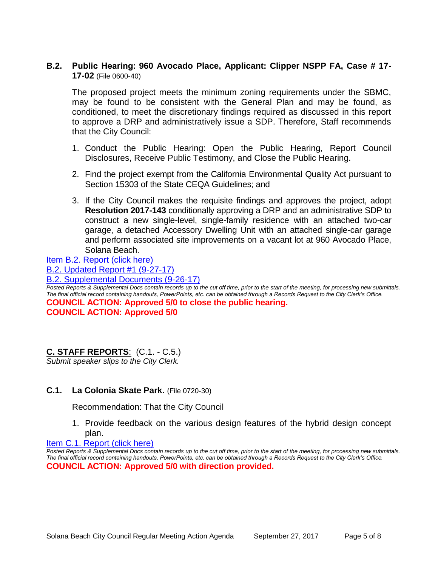**B.2. Public Hearing: 960 Avocado Place, Applicant: Clipper NSPP FA, Case # 17- 17-02** (File 0600-40)

The proposed project meets the minimum zoning requirements under the SBMC, may be found to be consistent with the General Plan and may be found, as conditioned, to meet the discretionary findings required as discussed in this report to approve a DRP and administratively issue a SDP. Therefore, Staff recommends that the City Council:

- 1. Conduct the Public Hearing: Open the Public Hearing, Report Council Disclosures, Receive Public Testimony, and Close the Public Hearing.
- 2. Find the project exempt from the California Environmental Quality Act pursuant to Section 15303 of the State CEQA Guidelines; and
- 3. If the City Council makes the requisite findings and approves the project, adopt **Resolution 2017-143** conditionally approving a DRP and an administrative SDP to construct a new single-level, single-family residence with an attached two-car garage, a detached Accessory Dwelling Unit with an attached single-car garage and perform associated site improvements on a vacant lot at 960 Avocado Place, Solana Beach.

[Item B.2. Report \(click here\)](https://solanabeach.govoffice3.com/vertical/Sites/%7B840804C2-F869-4904-9AE3-720581350CE7%7D/uploads/Item_B.2._Report_(click_here)_-_09-27-17.PDF)

[B.2. Updated Report #1 \(9-27-17\)](https://solanabeach.govoffice3.com/vertical/Sites/%7B840804C2-F869-4904-9AE3-720581350CE7%7D/uploads/B.2._Updated_Report_1_-_9-27-17.pdf)

[B.2. Supplemental Documents \(9-26-17\)](https://solanabeach.govoffice3.com/vertical/Sites/%7B840804C2-F869-4904-9AE3-720581350CE7%7D/uploads/B.2._Supplemental_Docs_(9-26-17).pdf)

*Posted Reports & Supplemental Docs contain records up to the cut off time, prior to the start of the meeting, for processing new submittals. The final official record containing handouts, PowerPoints, etc. can be obtained through a Records Request to the City Clerk's Office.* **COUNCIL ACTION: Approved 5/0 to close the public hearing. COUNCIL ACTION: Approved 5/0**

## **C. STAFF REPORTS**: (C.1. - C.5.)

*Submit speaker slips to the City Clerk.*

## **C.1. La Colonia Skate Park.** (File 0720-30)

Recommendation: That the City Council

1. Provide feedback on the various design features of the hybrid design concept plan.

[Item C.1. Report \(click here\)](https://solanabeach.govoffice3.com/vertical/Sites/%7B840804C2-F869-4904-9AE3-720581350CE7%7D/uploads/Item_C.1._Report_(click_here)_-_09-27-17.pdf)

*Posted Reports & Supplemental Docs contain records up to the cut off time, prior to the start of the meeting, for processing new submittals. The final official record containing handouts, PowerPoints, etc. can be obtained through a Records Request to the City Clerk's Office.* **COUNCIL ACTION: Approved 5/0 with direction provided.**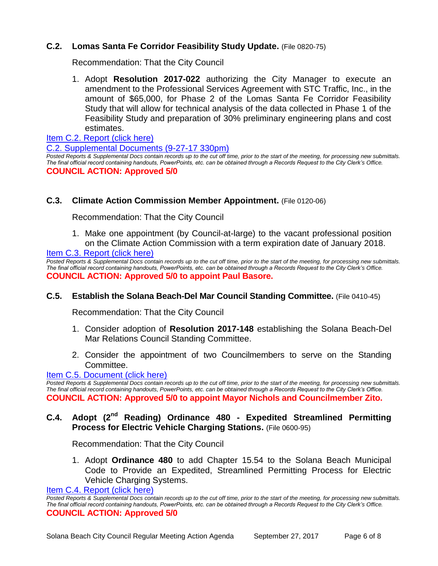## **C.2. Lomas Santa Fe Corridor Feasibility Study Update.** (File 0820-75)

Recommendation: That the City Council

1. Adopt **Resolution 2017-022** authorizing the City Manager to execute an amendment to the Professional Services Agreement with STC Traffic, Inc., in the amount of \$65,000, for Phase 2 of the Lomas Santa Fe Corridor Feasibility Study that will allow for technical analysis of the data collected in Phase 1 of the Feasibility Study and preparation of 30% preliminary engineering plans and cost estimates.

[Item C.2. Report \(click here\)](https://solanabeach.govoffice3.com/vertical/Sites/%7B840804C2-F869-4904-9AE3-720581350CE7%7D/uploads/Item_C.2._Report_(click_here)_-_09-27-17.PDF)

[C.2. Supplemental Documents \(9-27-17 330pm\)](https://solanabeach.govoffice3.com/vertical/Sites/%7B840804C2-F869-4904-9AE3-720581350CE7%7D/uploads/C.2._Supplemental_Documents_09-27-17_(330pm).pdf)

*Posted Reports & Supplemental Docs contain records up to the cut off time, prior to the start of the meeting, for processing new submittals. The final official record containing handouts, PowerPoints, etc. can be obtained through a Records Request to the City Clerk's Office.* **COUNCIL ACTION: Approved 5/0**

## **C.3. Climate Action Commission Member Appointment.** (File 0120-06)

Recommendation: That the City Council

1. Make one appointment (by Council-at-large) to the vacant professional position on the Climate Action Commission with a term expiration date of January 2018.

[Item C.3. Report \(click here\)](https://solanabeach.govoffice3.com/vertical/Sites/%7B840804C2-F869-4904-9AE3-720581350CE7%7D/uploads/Item_C.3._Report_(click_here)_-_09-27-17.PDF)

*Posted Reports & Supplemental Docs contain records up to the cut off time, prior to the start of the meeting, for processing new submittals. The final official record containing handouts, PowerPoints, etc. can be obtained through a Records Request to the City Clerk's Office.* **COUNCIL ACTION: Approved 5/0 to appoint Paul Basore.** 

#### **C.5. Establish the Solana Beach-Del Mar Council Standing Committee.** (File 0410-45)

Recommendation: That the City Council

- 1. Consider adoption of **Resolution 2017-148** establishing the Solana Beach-Del Mar Relations Council Standing Committee.
- 2. Consider the appointment of two Councilmembers to serve on the Standing Committee.

#### [Item C.5. Document \(click here\)](https://solanabeach.govoffice3.com/vertical/Sites/%7B840804C2-F869-4904-9AE3-720581350CE7%7D/uploads/Item_C.5._Report_(click_here)_-_09-27-17.PDF)

*Posted Reports & Supplemental Docs contain records up to the cut off time, prior to the start of the meeting, for processing new submittals. The final official record containing handouts, PowerPoints, etc. can be obtained through a Records Request to the City Clerk's Office.* **COUNCIL ACTION: Approved 5/0 to appoint Mayor Nichols and Councilmember Zito.** 

## **C.4. Adopt (2nd Reading) Ordinance 480 - Expedited Streamlined Permitting Process for Electric Vehicle Charging Stations.** (File 0600-95)

Recommendation: That the City Council

1. Adopt **Ordinance 480** to add Chapter 15.54 to the Solana Beach Municipal Code to Provide an Expedited, Streamlined Permitting Process for Electric Vehicle Charging Systems.

[Item C.4. Report \(click here\)](https://solanabeach.govoffice3.com/vertical/Sites/%7B840804C2-F869-4904-9AE3-720581350CE7%7D/uploads/Item_C.4._Report_(click_here)_-_09-27-17.PDF)

**Posted Reports & Supplemental Docs contain records up to the cut off time, prior to the start of the meeting, for processing new submittals.** *The final official record containing handouts, PowerPoints, etc. can be obtained through a Records Request to the City Clerk's Office.* **COUNCIL ACTION: Approved 5/0**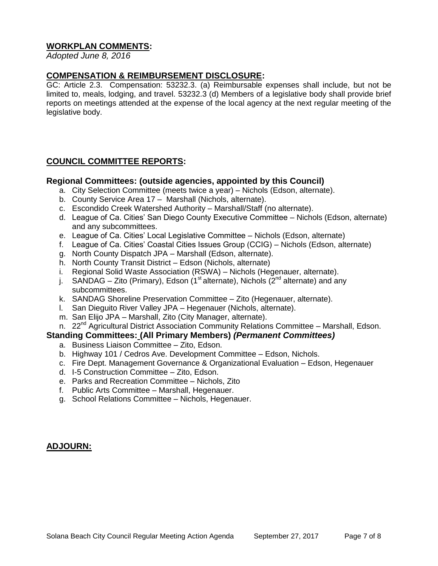## **WORKPLAN COMMENTS:**

*Adopted June 8, 2016*

## **COMPENSATION & REIMBURSEMENT DISCLOSURE:**

GC: Article 2.3. Compensation: 53232.3. (a) Reimbursable expenses shall include, but not be limited to, meals, lodging, and travel. 53232.3 (d) Members of a legislative body shall provide brief reports on meetings attended at the expense of the local agency at the next regular meeting of the legislative body.

## **COUNCIL COMMITTEE REPORTS:**

#### **Regional Committees: (outside agencies, appointed by this Council)**

- a. City Selection Committee (meets twice a year) Nichols (Edson, alternate).
- b. County Service Area 17 Marshall (Nichols, alternate).
- c. Escondido Creek Watershed Authority Marshall/Staff (no alternate).
- d. League of Ca. Cities' San Diego County Executive Committee Nichols (Edson, alternate) and any subcommittees.
- e. League of Ca. Cities' Local Legislative Committee Nichols (Edson, alternate)
- f. League of Ca. Cities' Coastal Cities Issues Group (CCIG) Nichols (Edson, alternate)
- g. North County Dispatch JPA Marshall (Edson, alternate).
- h. North County Transit District Edson (Nichols, alternate)
- i. Regional Solid Waste Association (RSWA) Nichols (Hegenauer, alternate).
- j. SANDAG Zito (Primary), Edson (1<sup>st</sup> alternate), Nichols ( $2<sup>nd</sup>$  alternate) and any subcommittees.
- k. SANDAG Shoreline Preservation Committee Zito (Hegenauer, alternate).
- l. San Dieguito River Valley JPA Hegenauer (Nichols, alternate).
- m. San Elijo JPA Marshall, Zito (City Manager, alternate).
- n. 22<sup>nd</sup> Agricultural District Association Community Relations Committee Marshall, Edson.

#### **Standing Committees: (All Primary Members)** *(Permanent Committees)*

- a. Business Liaison Committee Zito, Edson.
- b. Highway 101 / Cedros Ave. Development Committee Edson, Nichols.
- c. Fire Dept. Management Governance & Organizational Evaluation Edson, Hegenauer
- d. I-5 Construction Committee Zito, Edson.
- e. Parks and Recreation Committee Nichols, Zito
- f. Public Arts Committee Marshall, Hegenauer.
- g. School Relations Committee Nichols, Hegenauer.

## **ADJOURN:**